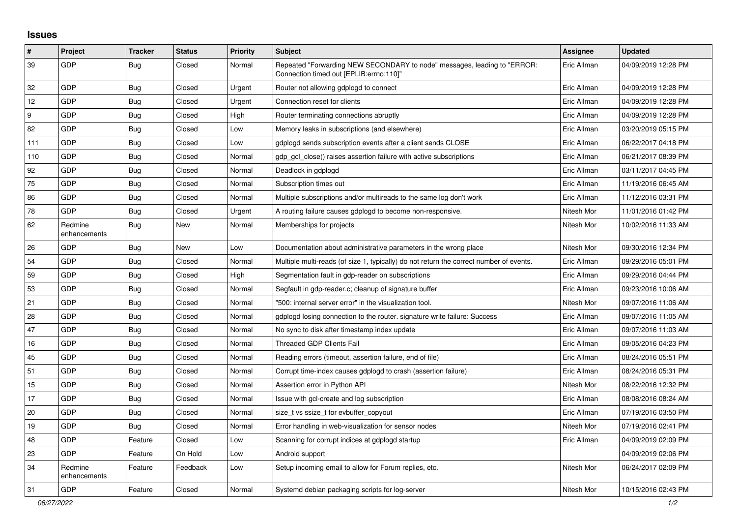## **Issues**

| $\vert$ # | Project                 | <b>Tracker</b> | <b>Status</b> | <b>Priority</b> | <b>Subject</b>                                                                                                      | Assignee    | <b>Updated</b>      |
|-----------|-------------------------|----------------|---------------|-----------------|---------------------------------------------------------------------------------------------------------------------|-------------|---------------------|
| 39        | GDP                     | <b>Bug</b>     | Closed        | Normal          | Repeated "Forwarding NEW SECONDARY to node" messages, leading to "ERROR:<br>"Connection timed out [EPLIB:errno:110] | Eric Allman | 04/09/2019 12:28 PM |
| 32        | GDP                     | <b>Bug</b>     | Closed        | Urgent          | Router not allowing gdplogd to connect                                                                              | Eric Allman | 04/09/2019 12:28 PM |
| 12        | GDP                     | Bug            | Closed        | Urgent          | Connection reset for clients                                                                                        | Eric Allman | 04/09/2019 12:28 PM |
| 9         | GDP                     | Bug            | Closed        | High            | Router terminating connections abruptly                                                                             | Eric Allman | 04/09/2019 12:28 PM |
| 82        | GDP                     | Bug            | Closed        | Low             | Memory leaks in subscriptions (and elsewhere)                                                                       | Eric Allman | 03/20/2019 05:15 PM |
| 111       | GDP                     | Bug            | Closed        | Low             | gdplogd sends subscription events after a client sends CLOSE                                                        | Eric Allman | 06/22/2017 04:18 PM |
| 110       | GDP                     | <b>Bug</b>     | Closed        | Normal          | gdp_gcl_close() raises assertion failure with active subscriptions                                                  | Eric Allman | 06/21/2017 08:39 PM |
| 92        | GDP                     | Bug            | Closed        | Normal          | Deadlock in gdplogd                                                                                                 | Eric Allman | 03/11/2017 04:45 PM |
| 75        | <b>GDP</b>              | Bug            | Closed        | Normal          | Subscription times out                                                                                              | Eric Allman | 11/19/2016 06:45 AM |
| 86        | GDP                     | <b>Bug</b>     | Closed        | Normal          | Multiple subscriptions and/or multireads to the same log don't work                                                 | Eric Allman | 11/12/2016 03:31 PM |
| 78        | <b>GDP</b>              | <b>Bug</b>     | Closed        | Urgent          | A routing failure causes gdplogd to become non-responsive.                                                          | Nitesh Mor  | 11/01/2016 01:42 PM |
| 62        | Redmine<br>enhancements | <b>Bug</b>     | New           | Normal          | Memberships for projects                                                                                            | Nitesh Mor  | 10/02/2016 11:33 AM |
| 26        | GDP                     | <b>Bug</b>     | New           | Low             | Documentation about administrative parameters in the wrong place                                                    | Nitesh Mor  | 09/30/2016 12:34 PM |
| 54        | GDP                     | Bug            | Closed        | Normal          | Multiple multi-reads (of size 1, typically) do not return the correct number of events.                             | Eric Allman | 09/29/2016 05:01 PM |
| 59        | GDP                     | <b>Bug</b>     | Closed        | High            | Segmentation fault in gdp-reader on subscriptions                                                                   | Eric Allman | 09/29/2016 04:44 PM |
| 53        | GDP                     | Bug            | Closed        | Normal          | Segfault in gdp-reader.c; cleanup of signature buffer                                                               | Eric Allman | 09/23/2016 10:06 AM |
| 21        | GDP                     | Bug            | Closed        | Normal          | "500: internal server error" in the visualization tool.                                                             | Nitesh Mor  | 09/07/2016 11:06 AM |
| 28        | GDP                     | <b>Bug</b>     | Closed        | Normal          | gdplogd losing connection to the router, signature write failure: Success                                           | Eric Allman | 09/07/2016 11:05 AM |
| 47        | GDP                     | Bug            | Closed        | Normal          | No sync to disk after timestamp index update                                                                        | Eric Allman | 09/07/2016 11:03 AM |
| 16        | GDP                     | <b>Bug</b>     | Closed        | Normal          | <b>Threaded GDP Clients Fail</b>                                                                                    | Eric Allman | 09/05/2016 04:23 PM |
| 45        | GDP                     | Bug            | Closed        | Normal          | Reading errors (timeout, assertion failure, end of file)                                                            | Eric Allman | 08/24/2016 05:51 PM |
| 51        | <b>GDP</b>              | Bug            | Closed        | Normal          | Corrupt time-index causes gdplogd to crash (assertion failure)                                                      | Eric Allman | 08/24/2016 05:31 PM |
| 15        | GDP                     | <b>Bug</b>     | Closed        | Normal          | Assertion error in Python API                                                                                       | Nitesh Mor  | 08/22/2016 12:32 PM |
| 17        | GDP                     | <b>Bug</b>     | Closed        | Normal          | Issue with gcl-create and log subscription                                                                          | Eric Allman | 08/08/2016 08:24 AM |
| 20        | GDP                     | Bug            | Closed        | Normal          | size_t vs ssize_t for evbuffer_copyout                                                                              | Eric Allman | 07/19/2016 03:50 PM |
| 19        | GDP                     | Bug            | Closed        | Normal          | Error handling in web-visualization for sensor nodes                                                                | Nitesh Mor  | 07/19/2016 02:41 PM |
| 48        | GDP                     | Feature        | Closed        | Low             | Scanning for corrupt indices at gdplogd startup                                                                     | Eric Allman | 04/09/2019 02:09 PM |
| 23        | GDP                     | Feature        | On Hold       | Low             | Android support                                                                                                     |             | 04/09/2019 02:06 PM |
| 34        | Redmine<br>enhancements | Feature        | Feedback      | Low             | Setup incoming email to allow for Forum replies, etc.                                                               | Nitesh Mor  | 06/24/2017 02:09 PM |
| 31        | GDP                     | Feature        | Closed        | Normal          | Systemd debian packaging scripts for log-server                                                                     | Nitesh Mor  | 10/15/2016 02:43 PM |